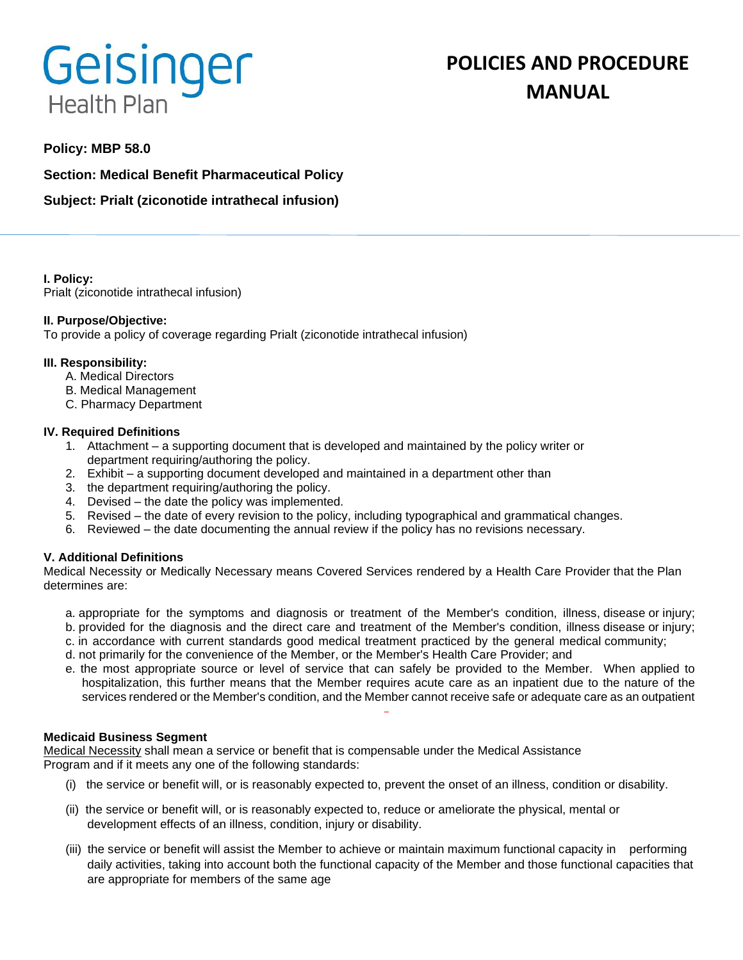# **Geisinger Health Plan**

# **Policy: MBP 58.0**

**Section: Medical Benefit Pharmaceutical Policy**

**Subject: Prialt (ziconotide intrathecal infusion)**

**I. Policy:** Prialt (ziconotide intrathecal infusion)

## **II. Purpose/Objective:**

To provide a policy of coverage regarding Prialt (ziconotide intrathecal infusion)

## **III. Responsibility:**

- A. Medical Directors
- B. Medical Management
- C. Pharmacy Department

## **IV. Required Definitions**

- 1. Attachment a supporting document that is developed and maintained by the policy writer or department requiring/authoring the policy.
- 2. Exhibit a supporting document developed and maintained in a department other than
- 3. the department requiring/authoring the policy.
- 4. Devised the date the policy was implemented.
- 5. Revised the date of every revision to the policy, including typographical and grammatical changes.
- 6. Reviewed the date documenting the annual review if the policy has no revisions necessary.

# **V. Additional Definitions**

Medical Necessity or Medically Necessary means Covered Services rendered by a Health Care Provider that the Plan determines are:

- a. appropriate for the symptoms and diagnosis or treatment of the Member's condition, illness, disease or injury; b. provided for the diagnosis and the direct care and treatment of the Member's condition, illness disease or injury;
- c. in accordance with current standards good medical treatment practiced by the general medical community;
- d. not primarily for the convenience of the Member, or the Member's Health Care Provider; and
- e. the most appropriate source or level of service that can safely be provided to the Member. When applied to hospitalization, this further means that the Member requires acute care as an inpatient due to the nature of the services rendered or the Member's condition, and the Member cannot receive safe or adequate care as an outpatient

#### **Medicaid Business Segment**

Medical Necessity shall mean a service or benefit that is compensable under the Medical Assistance Program and if it meets any one of the following standards:

- (i) the service or benefit will, or is reasonably expected to, prevent the onset of an illness, condition or disability.
- (ii) the service or benefit will, or is reasonably expected to, reduce or ameliorate the physical, mental or development effects of an illness, condition, injury or disability.
- (iii) the service or benefit will assist the Member to achieve or maintain maximum functional capacity in performing daily activities, taking into account both the functional capacity of the Member and those functional capacities that are appropriate for members of the same age